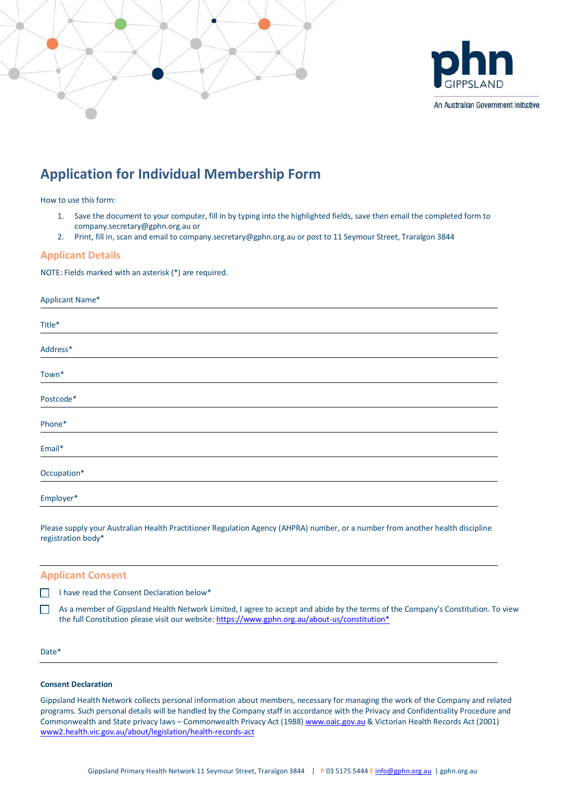

# **Application for Individual Membership Form**

How to use this form:

- 1. Save the document to your computer, fill in by typing into the highlighted fields, save then email the completed form to company.secretary@gphn.org.au or
- 2. Print, fill in, scan and email to company.secretary@gphn.org.au or post to 11 Seymour Street, Traralgon 3844

# **Applicant Details**

NOTE: Fields marked with an asterisk (\*) are required.

|  | Applicant Name* |
|--|-----------------|
|  | Title*          |
|  | Address*        |
|  | Town*           |
|  | Postcode*       |
|  | Phone*          |
|  | Email*          |
|  | Occupation*     |
|  | Employer*       |

Please supply your Australian Health Practitioner Regulation Agency (AHPRA) number, or a number from another health discipline registration body\*

# **Applicant Consent**

 $\Box$  I have read the Consent Declaration below\*

 $\Box$ As a member of Gippsland Health Network Limited, I agree to accept and abide by the terms of the Company's Constitution. To view the full Constitution please visit our website: https://www.gphn.org.au/about-us/constitution\*

#### Date\*

#### **Consent Declaration**

Gippsland Health Network collects personal information about members, necessary for managing the work of the Company and related programs. Such personal details will be handled by the Company staff in accordance with the Privacy and Confidentiality Procedure and Commonwealth and State privacy laws – Commonwealth Privacy Act (1988) www.oaic.gov.au & Victorian Health Records Act (2001) www2.health.vic.gov.au/about/legislation/health-records-act